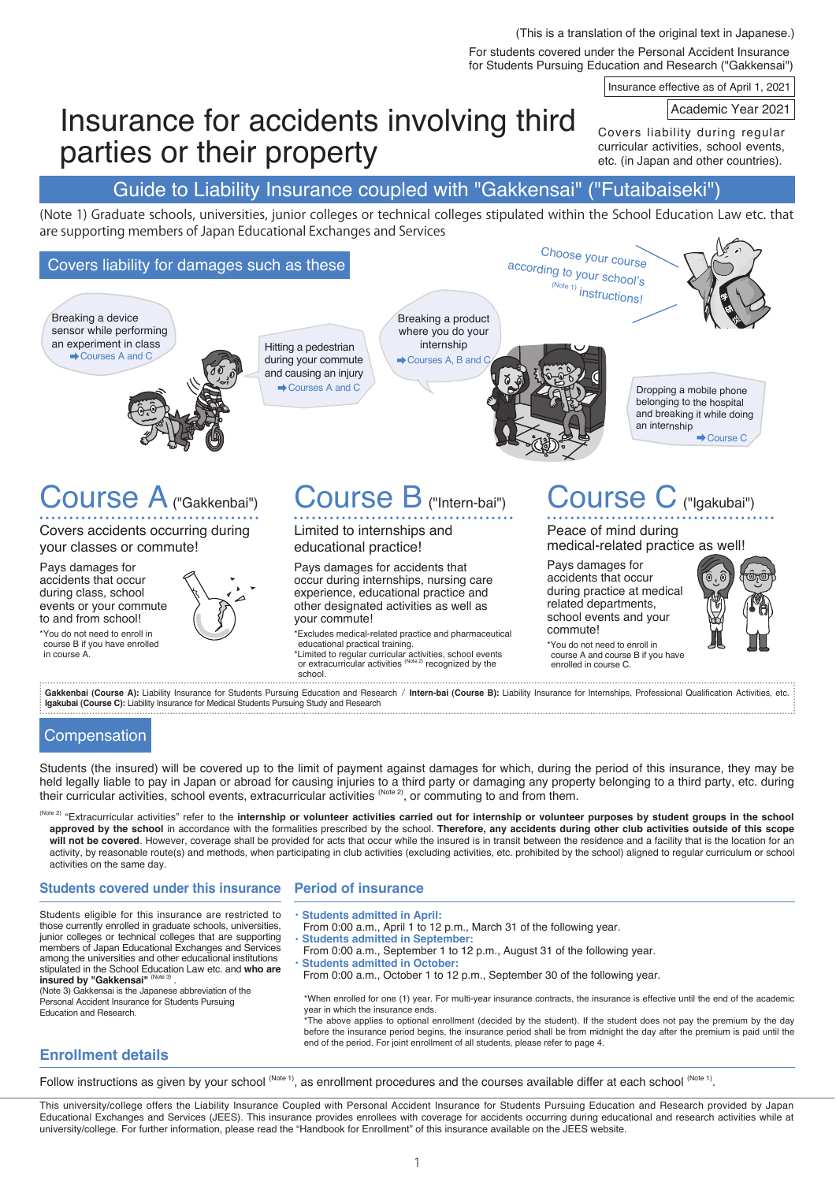(This is a translation of the original text in Japanese.)

For students covered under the Personal Accident Insurance for Students Pursuing Education and Research ("Gakkensai")

Choose your course

Insurance effective as of April 1, 2021

### Academic Year 2021

Covers liability during regular curricular activities, school events, etc. (in Japan and other countries).

# Insurance for accidents involving third parties or their property

Guide to Liability Insurance coupled with "Gakkensai" ("Futaibaiseki")

(Note 1) Graduate schools, universities, junior colleges or technical colleges stipulated within the School Education Law etc. that are supporting members of Japan Educational Exchanges and Services

# Covers liability for damages such as these



**Igakubai (Course C):** Liability Insurance for Medical Students Pursuing Study and Research 

# **Compensation**

Students (the insured) will be covered up to the limit of payment against damages for which, during the period of this insurance, they may be held legally liable to pay in Japan or abroad for causing injuries to a third party or damaging any property belonging to a third party, etc. during their curricular activities, school events, extracurricular activities  $^{(\text{Note 2})}$ , or commuting to and from them.

(Note 2) "Extracurricular activities" refer to the internship or volunteer activities carried out for internship or volunteer purposes by student groups in the school **approved by the school** in accordance with the formalities prescribed by the school. **Therefore, any accidents during other club activities outside of this scope**  will not be covered. However, coverage shall be provided for acts that occur while the insured is in transit between the residence and a facility that is the location for an activity, by reasonable route(s) and methods, when participating in club activities (excluding activities, etc. prohibited by the school) aligned to regular curriculum or school activities on the same day.

# **Students covered under this insurance**

# **Period of insurance**

Students eligible for this insurance are restricted to those currently enrolled in graduate schools, universities, junior colleges or technical colleges that are supporting members of Japan Educational Exchanges and Services among the universities and other educational institutions stipulated in the School Education Law etc. and **who are** 

**insured by "Gakkensai"** (<sup>Note 3)</sup> .<br>(Note 3) Gakkensai is the Japanese abbreviation of the Personal Accident Insurance for Students Pursuing Education and Research.

・**Students admitted in April:** 

- From 0:00 a.m., April 1 to 12 p.m., March 31 of the following year. **Students admitted in September**
- From 0:00 a.m., September 1 to 12 p.m., August 31 of the following year.
- **Students admitted in October:**
- From 0:00 a.m., October 1 to 12 p.m., September 30 of the following year.

\*When enrolled for one (1) year. For multi-year insurance contracts, the insurance is effective until the end of the academic year in which the insurance ends.

.<br>The above applies to optional enrollment (decided by the student). If the student does not pay the premium by the day before the insurance period begins, the insurance period shall be from midnight the day after the premium is paid until the end of the period. For joint enrollment of all students, please refer to page 4.

# **Enrollment details**

Follow instructions as given by your school (Note 1), as enrollment procedures and the courses available differ at each school (Note 1).

This university/college offers the Liability Insurance Coupled with Personal Accident Insurance for Students Pursuing Education and Research provided by Japan Educational Exchanges and Services (JEES). This insurance provides enrollees with coverage for accidents occurring during educational and research activities while at university/college. For further information, please read the "Handbook for Enrollment" of this insurance available on the JEES website.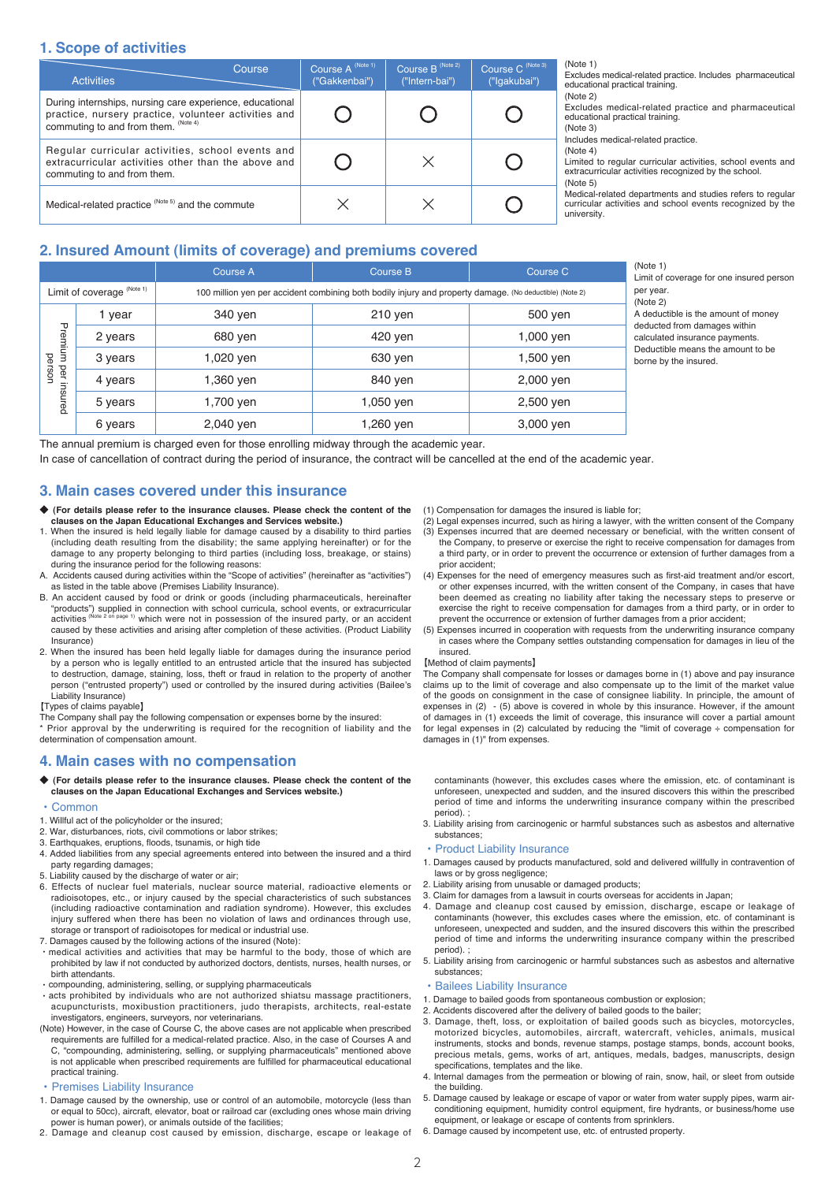# **1. Scope of activities**

| <b>Activities</b>                                                                                                                                        | Course | Course A (Note 1)<br>("Gakkenbai") | Course B <sup>(Note 2)</sup><br>("Intern-bai") | Course C (Note 3)<br>("Igakubai") |
|----------------------------------------------------------------------------------------------------------------------------------------------------------|--------|------------------------------------|------------------------------------------------|-----------------------------------|
| During internships, nursing care experience, educational<br>practice, nursery practice, volunteer activities and<br>commuting to and from them. (Note 4) |        |                                    |                                                |                                   |
| Regular curricular activities, school events and<br>extracurricular activities other than the above and<br>commuting to and from them.                   |        |                                    | $\times$                                       |                                   |
| Medical-related practice (Note 5) and the commute                                                                                                        |        |                                    |                                                |                                   |

(Note 1)

Excludes medical-related practice. Includes pharmaceutical educational practical training. (Note 2)

Excludes medical-related practice and pharmaceutical educational practical training. (Note 3)

Includes medical-related practice.

(Note 4)

Limited to regular curricular activities, school events and extracurricular activities recognized by the school. (Note 5)

Medical-related departments and studies refers to regular curricular activities and school events recognized by the university.

# **2. Insured Amount (limits of coverage) and premiums covered**

|                                     |         | Course A                                                                                                | Course B  | Course C  | (Note 1)<br>Limit of coverage for one insured person                                                                                                                |
|-------------------------------------|---------|---------------------------------------------------------------------------------------------------------|-----------|-----------|---------------------------------------------------------------------------------------------------------------------------------------------------------------------|
| Limit of coverage (Note 1)          |         | 100 million yen per accident combining both bodily injury and property damage. (No deductible) (Note 2) |           |           | per year.<br>(Note 2)                                                                                                                                               |
| Premium<br>person<br>per<br>insured | vear    | 340 yen                                                                                                 | $210$ yen | 500 yen   | A deductible is the amount of money<br>deducted from damages within<br>calculated insurance payments.<br>Deductible means the amount to be<br>borne by the insured. |
|                                     | 2 years | 680 ven                                                                                                 | 420 ven   | 1,000 yen |                                                                                                                                                                     |
|                                     | 3 years | 1,020 ven                                                                                               | 630 yen   | 1,500 yen |                                                                                                                                                                     |
|                                     | 4 years | .360 ven                                                                                                | 840 ven   | 2,000 yen |                                                                                                                                                                     |
|                                     | 5 years | 1,700 ven                                                                                               | 1,050 yen | 2,500 yen |                                                                                                                                                                     |
|                                     | 6 years | 2,040 yen                                                                                               | 1,260 yen | 3,000 yen |                                                                                                                                                                     |

The annual premium is charged even for those enrolling midway through the academic year.

In case of cancellation of contract during the period of insurance, the contract will be cancelled at the end of the academic year.

# **3. Main cases covered under this insurance**

- ◆ (For details please refer to the insurance clauses. Please check the content of the **clauses on the Japan Educational Exchanges and Services website.)**
- 1. When the insured is held legally liable for damage caused by a disability to third parties (including death resulting from the disability; the same applying hereinafter) or for the damage to any property belonging to third parties (including loss, breakage, or stains) during the insurance period for the following reasons:
- A. Accidents caused during activities within the "Scope of activities" (hereinafter as "activities") as listed in the table above (Premises Liability Insurance).
- B. An accident caused by food or drink or goods (including pharmaceuticals, hereinafter "products") supplied in connection with school curricula, school events, or extracurricular<br>activities <sup>(Note 2 on page 1)</sup> which were not in possession of the insured party, or an accident caused by these activities and arising after completion of these activities. (Product Liability Insurance)
- 2. When the insured has been held legally liable for damages during the insurance period by a person who is legally entitled to an entrusted article that the insured has subjected to destruction, damage, staining, loss, theft or fraud in relation to the property of another person ("entrusted property") used or controlled by the insured during activities (Bailee's Liability Insurance)
- 【Types of claims payable】

The Company shall pay the following compensation or expenses borne by the insured: \* Prior approval by the underwriting is required for the recognition of liability and the determination of compensation amount.

### **4. Main cases with no compensation**

#### ◆ **(For details please refer to the insurance clauses. Please check the content of the clauses on the Japan Educational Exchanges and Services website.)**

#### **Common**

- 1. Willful act of the policyholder or the insured;
- 2. War, disturbances, riots, civil commotions or labor strikes;
- 3. Earthquakes, eruptions, floods, tsunamis, or high tide
- 4. Added liabilities from any special agreements entered into between the insured and a third party regarding damages;
- 5. Liability caused by the discharge of water or air;
- 6. Effects of nuclear fuel materials, nuclear source material, radioactive elements or radioisotopes, etc., or injury caused by the special characteristics of such substances (including radioactive contamination and radiation syndrome). However, this excludes injury suffered when there has been no violation of laws and ordinances through use, storage or transport of radioisotopes for medical or industrial use.
- 7. Damages caused by the following actions of the insured (Note):
- medical activities and activities that may be harmful to the body, those of which are prohibited by law if not conducted by authorized doctors, dentists, nurses, health nurses, or birth attendants.
- compounding, administering, selling, or supplying pharmaceuticals
- acts prohibited by individuals who are not authorized shiatsu massage practitioners, acupuncturists, moxibustion practitioners, judo therapists, architects, real-estate investigators, engineers, surveyors, nor veterinarians.
- (Note) However, in the case of Course C, the above cases are not applicable when prescribed requirements are fulfilled for a medical-related practice. Also, in the case of Courses A and C, "compounding, administering, selling, or supplying pharmaceuticals" mentioned above is not applicable when prescribed requirements are fulfilled for pharmaceutical educational practical training.
- Premises Liability Insurance
- 1. Damage caused by the ownership, use or control of an automobile, motorcycle (less than or equal to 50cc), aircraft, elevator, boat or railroad car (excluding ones whose main driving power is human power), or animals outside of the facilities;
- 2. Damage and cleanup cost caused by emission, discharge, escape or leakage of
- (1) Compensation for damages the insured is liable for;
- $\overrightarrow{P}$  Legal expenses incurred, such as hiring a lawyer, with the written consent of the Company
- (3) Expenses incurred that are deemed necessary or beneficial, with the written consent of the Company, to preserve or exercise the right to receive compensation for damages from a third party, or in order to prevent the occurrence or extension of further damages from a prior accident;
- (4) Expenses for the need of emergency measures such as first-aid treatment and/or escort, or other expenses incurred, with the written consent of the Company, in cases that have been deemed as creating no liability after taking the necessary steps to preserve or exercise the right to receive compensation for damages from a third party, or in order to prevent the occurrence or extension of further damages from a prior accident;
- (5) Expenses incurred in cooperation with requests from the underwriting insurance company in cases where the Company settles outstanding compensation for damages in lieu of the insured.

#### 【Method of claim payments】

The Company shall compensate for losses or damages borne in (1) above and pay insurance claims up to the limit of coverage and also compensate up to the limit of the market value of the goods on consignment in the case of consignee liability. In principle, the amount of expenses in (2) - (5) above is covered in whole by this insurance. However, if the amount of damages in (1) exceeds the limit of coverage, this insurance will cover a partial amount for legal expenses in (2) calculated by reducing the "limit of coverage ÷ compensation for damages in (1)" from expenses.

contaminants (however, this excludes cases where the emission, etc. of contaminant is unforeseen, unexpected and sudden, and the insured discovers this within the prescribed period of time and informs the underwriting insurance company within the prescribed period)

3. Liability arising from carcinogenic or harmful substances such as asbestos and alternative substances;

#### • Product Liability Insurance

- 1. Damages caused by products manufactured, sold and delivered willfully in contravention of laws or by gross negligence;
- 2. Liability arising from unusable or damaged products:
- 3. Claim for damages from a lawsuit in courts overseas for accidents in Japan;
- 4. Damage and cleanup cost caused by emission, discharge, escape or leakage of contaminants (however, this excludes cases where the emission, etc. of contaminant is unforeseen, unexpected and sudden, and the insured discovers this within the prescribed period of time and informs the underwriting insurance company within the prescribed period).
- 5. Liability arising from carcinogenic or harmful substances such as asbestos and alternative substances;

# **Bailees Liability Insurance**

- 1. Damage to bailed goods from spontaneous combustion or explosion;
- 2. Accidents discovered after the delivery of bailed goods to the bailer;
- 3. Damage, theft, loss, or exploitation of bailed goods such as bicycles, motorcycles, motorized bicycles, automobiles, aircraft, watercraft, vehicles, animals, musical instruments, stocks and bonds, revenue stamps, postage stamps, bonds, account books, precious metals, gems, works of art, antiques, medals, badges, manuscripts, design specifications, templates and the like.
- 4. Internal damages from the permeation or blowing of rain, snow, hail, or sleet from outside the building.
- 5. Damage caused by leakage or escape of vapor or water from water supply pipes, warm airconditioning equipment, humidity control equipment, fire hydrants, or business/home use equipment, or leakage or escape of contents from sprinklers.
- 6. Damage caused by incompetent use, etc. of entrusted property.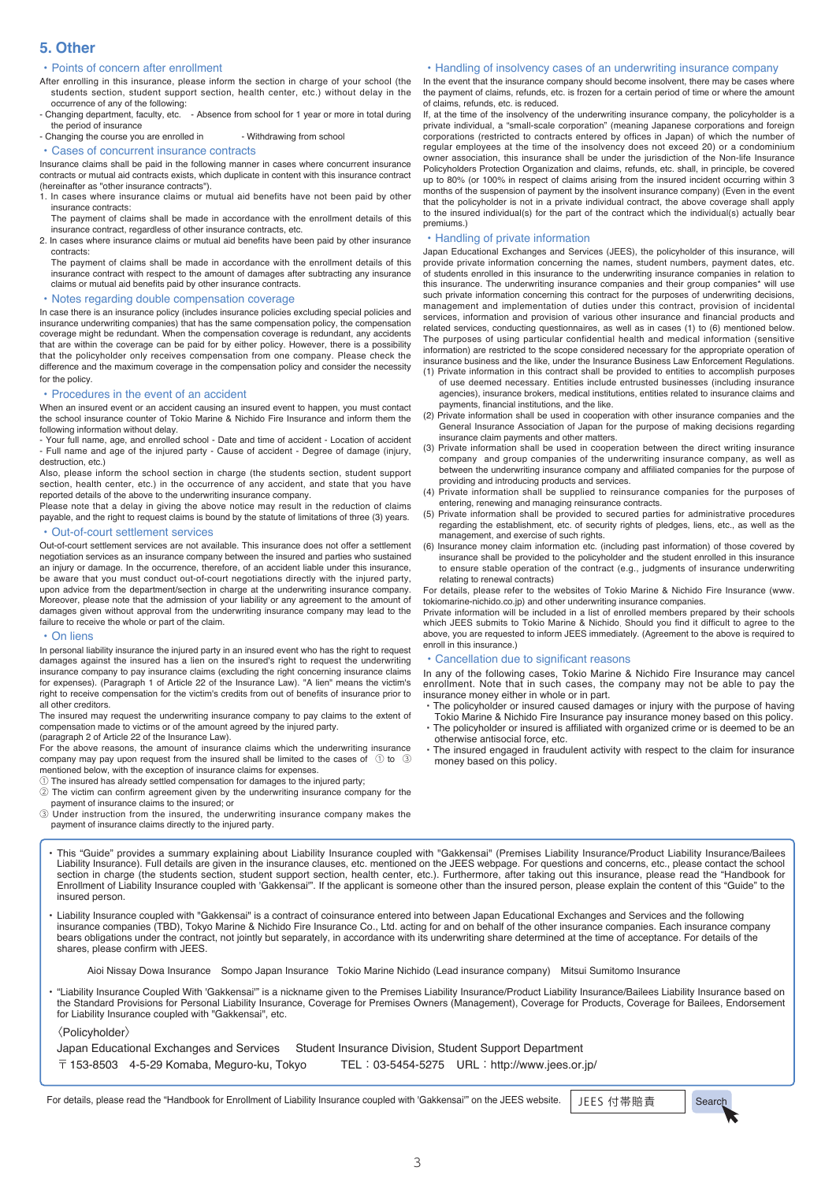# **5. Other**

### • Points of concern after enrollment

After enrolling in this insurance, please inform the section in charge of your school (the students section, student support section, health center, etc.) without delay in the occurrence of any of the following:

- Changing department, faculty, etc. - Absence from school for 1 year or more in total during the period of insurance

- Changing the course you are enrolled in - Withdrawing from school

• Cases of concurrent insurance contracts

Insurance claims shall be paid in the following manner in cases where concurrent insurance contracts or mutual aid contracts exists, which duplicate in content with this insurance contract (hereinafter as "other insurance contracts").

- 1. In cases where insurance claims or mutual aid benefits have not been paid by other insurance contracts:
- The payment of claims shall be made in accordance with the enrollment details of this insurance contract, regardless of other insurance contracts, etc.
- 2. In cases where insurance claims or mutual aid benefits have been paid by other insurance contracts:

The payment of claims shall be made in accordance with the enrollment details of this insurance contract with respect to the amount of damages after subtracting any insurance claims or mutual aid benefits paid by other insurance contracts.

#### • Notes regarding double compensation coverage

In case there is an insurance policy (includes insurance policies excluding special policies and insurance underwriting companies) that has the same compensation policy, the compensation coverage might be redundant. When the compensation coverage is redundant, any accidents that are within the coverage can be paid for by either policy. However, there is a possibility that the policyholder only receives compensation from one company. Please check the difference and the maximum coverage in the compensation policy and consider the necessity for the policy.

#### • Procedures in the event of an accident

When an insured event or an accident causing an insured event to happen, you must contact the school insurance counter of Tokio Marine & Nichido Fire Insurance and inform them the following information without delay.

- Your full name, age, and enrolled school - Date and time of accident - Location of accident - Full name and age of the injured party - Cause of accident - Degree of damage (injury, destruction, etc.)

Also, please inform the school section in charge (the students section, student support section, health center, etc.) in the occurrence of any accident, and state that you have reported details of the above to the underwriting insurance company.

Please note that a delay in giving the above notice may result in the reduction of claims payable, and the right to request claims is bound by the statute of limitations of three (3) years.

# • Out-of-court settlement services

Out-of-court settlement services are not available. This insurance does not offer a settlement negotiation services as an insurance company between the insured and parties who sustained an injury or damage. In the occurrence, therefore, of an accident liable under this insurance, be aware that you must conduct out-of-court negotiations directly with the injured party, upon advice from the department/section in charge at the underwriting insurance company. Moreover, please note that the admission of your liability or any agreement to the amount of damages given without approval from the underwriting insurance company may lead to the failure to receive the whole or part of the claim.

#### • On liens

In personal liability insurance the injured party in an insured event who has the right to request damages against the insured has a lien on the insured's right to request the underwriting insurance company to pay insurance claims (excluding the right concerning insurance claims for expenses). (Paragraph 1 of Article 22 of the Insurance Law). "A lien" means the victim's right to receive compensation for the victim's credits from out of benefits of insurance prior to all other creditors.

The insured may request the underwriting insurance company to pay claims to the extent of compensation made to victims or of the amount agreed by the injured party.

(paragraph 2 of Article 22 of the Insurance Law).

For the above reasons, the amount of insurance claims which the underwriting insurance company may pay upon request from the insured shall be limited to the cases of ① to ③ mentioned below, with the exception of insurance claims for expenses. ① The insured has already settled compensation for damages to the injured party;

② The victim can confirm agreement given by the underwriting insurance company for the payment of insurance claims to the insured; or

③ Under instruction from the insured, the underwriting insurance company makes the payment of insurance claims directly to the injured party.

#### • Handling of insolvency cases of an underwriting insurance company

In the event that the insurance company should become insolvent, there may be cases where the payment of claims, refunds, etc. is frozen for a certain period of time or where the amount of claims, refunds, etc. is reduced.

If, at the time of the insolvency of the underwriting insurance company, the policyholder is a private individual, a "small-scale corporation" (meaning Japanese corporations and foreign corporations (restricted to contracts entered by offices in Japan) of which the number of regular employees at the time of the insolvency does not exceed 20) or a condominium owner association, this insurance shall be under the jurisdiction of the Non-life Insurance Policyholders Protection Organization and claims, refunds, etc. shall, in principle, be covered up to 80% (or 100% in respect of claims arising from the insured incident occurring within 3 months of the suspension of payment by the insolvent insurance company) (Even in the event that the policyholder is not in a private individual contract, the above coverage shall apply to the insured individual(s) for the part of the contract which the individual(s) actually bear premiums.)

#### • Handling of private information

Japan Educational Exchanges and Services (JEES), the policyholder of this insurance, will provide private information concerning the names, student numbers, payment dates, etc. of students enrolled in this insurance to the underwriting insurance companies in relation to this insurance. The underwriting insurance companies and their group companies\* will use such private information concerning this contract for the purposes of underwriting decisions, management and implementation of duties under this contract, provision of incidental services, information and provision of various other insurance and financial products and related services, conducting questionnaires, as well as in cases (1) to (6) mentioned below. The purposes of using particular confidential health and medical information (sensitive information) are restricted to the scope considered necessary for the appropriate operation of insurance business and the like, under the Insurance Business Law Enforcement Regulations. (1) Private information in this contract shall be provided to entities to accomplish purposes

- of use deemed necessary. Entities include entrusted businesses (including insurance agencies), insurance brokers, medical institutions, entities related to insurance claims and payments, financial institutions, and the like.
- (2) Private information shall be used in cooperation with other insurance companies and the General Insurance Association of Japan for the purpose of making decisions regarding insurance claim payments and other matters.
- (3) Private information shall be used in cooperation between the direct writing insurance company and group companies of the underwriting insurance company, as well as between the underwriting insurance company and affiliated companies for the purpose of providing and introducing products and services.
- (4) Private information shall be supplied to reinsurance companies for the purposes of entering, renewing and managing reinsurance contracts.
- (5) Private information shall be provided to secured parties for administrative procedures regarding the establishment, etc. of security rights of pledges, liens, etc., as well as the management, and exercise of such rights.
- (6) Insurance money claim information etc. (including past information) of those covered by insurance shall be provided to the policyholder and the student enrolled in this insurance to ensure stable operation of the contract (e.g., judgments of insurance underwriting relating to renewal contracts)

For details, please refer to the websites of Tokio Marine & Nichido Fire Insurance (www. tokiomarine-nichido.co.jp) and other underwriting insurance companies.

Private information will be included in a list of enrolled members prepared by their schools which JEES submits to Tokio Marine & Nichido. Should you find it difficult to agree to the above, you are requested to inform JEES immediately. (Agreement to the above is required to enroll in this insurance.)

#### • Cancellation due to significant reasons

In any of the following cases, Tokio Marine & Nichido Fire Insurance may cancel enrollment. Note that in such cases, the company may not be able to pay the

- insurance money either in whole or in part. ・ The policyholder or insured caused damages or injury with the purpose of having
- Tokio Marine & Nichido Fire Insurance pay insurance money based on this policy. ・ The policyholder or insured is affiliated with organized crime or is deemed to be an otherwise antisocial force, etc.
- The insured engaged in fraudulent activity with respect to the claim for insurance money based on this policy.

This "Guide" provides a summary explaining about Liability Insurance coupled with "Gakkensai" (Premises Liability Insurance/Product Liability Insurance/Bailees<br>Liability Insurance). Full details are given in the insurance Enrollment of Liability Insurance coupled with 'Gakkensai'". If the applicant is someone other than the insured person, please explain the content of this "Guide" to the insured person.

• Liability Insurance coupled with "Gakkensai" is a contract of coinsurance entered into between Japan Educational Exchanges and Services and the following insurance companies (TBD), Tokyo Marine & Nichido Fire Insurance Co., Ltd. acting for and on behalf of the other insurance companies. Each insurance company bears obligations under the contract, not jointly but separately, in accordance with its underwriting share determined at the time of acceptance. For details of the shares, please confirm with JEES.

Aioi Nissay Dowa Insurance Sompo Japan Insurance Tokio Marine Nichido (Lead insurance company) Mitsui Sumitomo Insurance

• "Liability Insurance Coupled With 'Gakkensai'" is a nickname given to the Premises Liability Insurance/Product Liability Insurance/Bailees Liability Insurance based on the Standard Provisions for Personal Liability Insurance, Coverage for Premises Owners (Management), Coverage for Products, Coverage for Bailees, Endorsement for Liability Insurance coupled with "Gakkensai", etc.

〈Policyholder〉

Japan Educational Exchanges and Services Student Insurance Division, Student Support Department  $\overline{T}$  153-8503 4-5-29 Komaba, Meguro-ku, Tokyo TEL: 03-5454-5275 URL: http://www.jees.or.jp/

For details, please read the "Handbook for Enrollment of Liability Insurance coupled with 'Gakkensai'" on the JEES website. JEES 付帯賠責